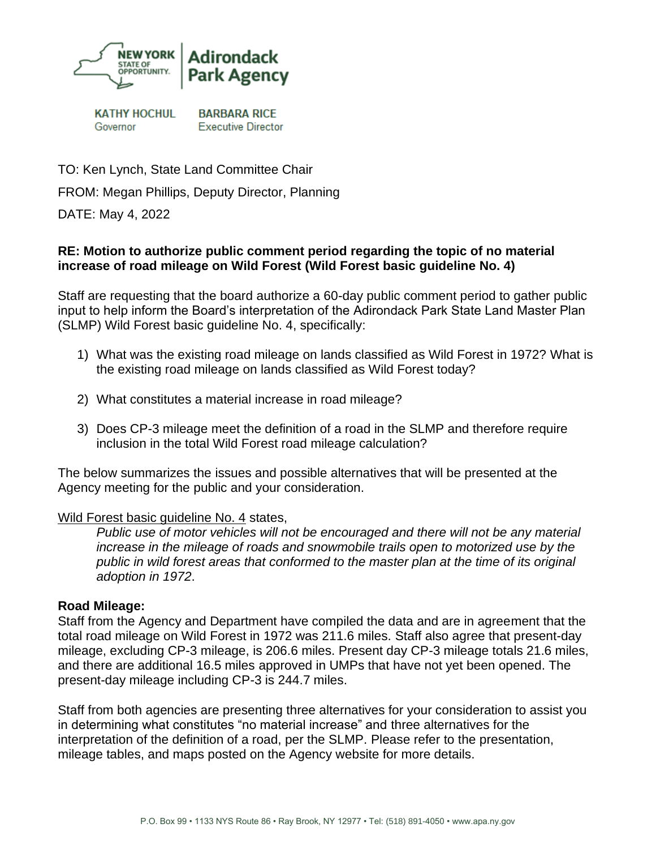

**KATHY HOCHUL** Governor

**BARBARA RICE Executive Director** 

TO: Ken Lynch, State Land Committee Chair FROM: Megan Phillips, Deputy Director, Planning

DATE: May 4, 2022

#### **RE: Motion to authorize public comment period regarding the topic of no material increase of road mileage on Wild Forest (Wild Forest basic guideline No. 4)**

Staff are requesting that the board authorize a 60-day public comment period to gather public input to help inform the Board's interpretation of the Adirondack Park State Land Master Plan (SLMP) Wild Forest basic guideline No. 4, specifically:

- 1) What was the existing road mileage on lands classified as Wild Forest in 1972? What is the existing road mileage on lands classified as Wild Forest today?
- 2) What constitutes a material increase in road mileage?
- 3) Does CP-3 mileage meet the definition of a road in the SLMP and therefore require inclusion in the total Wild Forest road mileage calculation?

The below summarizes the issues and possible alternatives that will be presented at the Agency meeting for the public and your consideration.

#### Wild Forest basic guideline No. 4 states,

*Public use of motor vehicles will not be encouraged and there will not be any material increase in the mileage of roads and snowmobile trails open to motorized use by the public in wild forest areas that conformed to the master plan at the time of its original adoption in 1972*.

#### **Road Mileage:**

Staff from the Agency and Department have compiled the data and are in agreement that the total road mileage on Wild Forest in 1972 was 211.6 miles. Staff also agree that present-day mileage, excluding CP-3 mileage, is 206.6 miles. Present day CP-3 mileage totals 21.6 miles, and there are additional 16.5 miles approved in UMPs that have not yet been opened. The present-day mileage including CP-3 is 244.7 miles.

Staff from both agencies are presenting three alternatives for your consideration to assist you in determining what constitutes "no material increase" and three alternatives for the interpretation of the definition of a road, per the SLMP. Please refer to the presentation, mileage tables, and maps posted on the Agency website for more details.